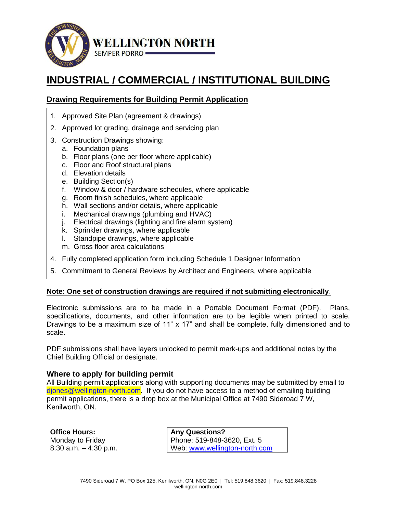

# **INDUSTRIAL / COMMERCIAL / INSTITUTIONAL BUILDING**

# **Drawing Requirements for Building Permit Application**

- 1. Approved Site Plan (agreement & drawings)
- 2. Approved lot grading, drainage and servicing plan
- 3. Construction Drawings showing:
	- a. Foundation plans
	- b. Floor plans (one per floor where applicable)
	- c. Floor and Roof structural plans
	- d. Elevation details
	- e. Building Section(s)
	- f. Window & door / hardware schedules, where applicable
	- g. Room finish schedules, where applicable
	- h. Wall sections and/or details, where applicable
	- i. Mechanical drawings (plumbing and HVAC)
	- j. Electrical drawings (lighting and fire alarm system)
	- k. Sprinkler drawings, where applicable
	- l. Standpipe drawings, where applicable
	- m. Gross floor area calculations
- 4. Fully completed application form including Schedule 1 Designer Information
- 5. Commitment to General Reviews by Architect and Engineers, where applicable

#### **Note: One set of construction drawings are required if not submitting electronically**.

Electronic submissions are to be made in a Portable Document Format (PDF). Plans, specifications, documents, and other information are to be legible when printed to scale. Drawings to be a maximum size of 11" x 17" and shall be complete, fully dimensioned and to scale.

PDF submissions shall have layers unlocked to permit mark-ups and additional notes by the Chief Building Official or designate.

#### **Where to apply for building permit**

All Building permit applications along with supporting documents may be submitted by email to [djones@wellington-north.com.](mailto:djones@wellington-north.com) If you do not have access to a method of emailing building permit applications, there is a drop box at the Municipal Office at 7490 Sideroad 7 W, Kenilworth, ON.

**Office Hours:**  Monday to Friday 8:30 a.m. – 4:30 p.m.

**Any Questions?**  Phone: 519-848-3620, Ext. 5 Web: [www.wellington-north.com](http://www.wellington-north.com/)